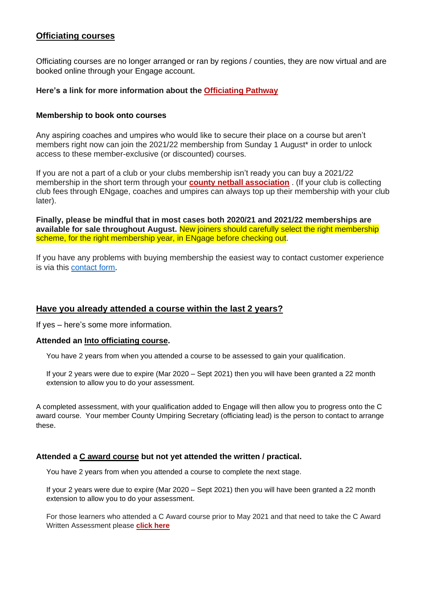# **[Officiating courses](https://www.englandnetball.co.uk/get-involved/officiating/courses/)**

Officiating courses are no longer arranged or ran by regions / counties, they are now virtual and are booked online through your Engage account.

# **Here's a link for more information about the [Officiating Pathway](https://d2cx26qpfwuhvu.cloudfront.net/englandnetball/wp-content/uploads/2021/04/29110026/Basic-pathway-2021.docx)**

### **Membership to book onto courses**

Any aspiring coaches and umpires who would like to secure their place on a course but aren't members right now can join the 2021/22 membership from Sunday 1 August\* in order to unlock access to these member-exclusive (or discounted) courses.

If you are not a part of a club or your clubs membership isn't ready you can buy a 2021/22 membership in the short term through your **[county netball association](https://www.englandnetball.co.uk/finding-your-county-on-engage/)** . (If your club is collecting club fees through ENgage, coaches and umpires can always top up their membership with your club later).

**Finally, please be mindful that in most cases both 2020/21 and 2021/22 memberships are available for sale throughout August.** New joiners should carefully select the right membership scheme, for the right membership year, in ENgage before checking out.

If you have any problems with buying membership the easiest way to contact customer experience is via this [contact form](https://englandnetball.zendesk.com/hc/en-gb/requests/new).

# **Have you already attended a course within the last 2 years?**

If yes – here's some more information.

### **Attended an [Into officiating course.](https://www.englandnetball.co.uk/course/into-officiating-course/)**

You have 2 years from when you attended a course to be assessed to gain your qualification.

If your 2 years were due to expire (Mar 2020 – Sept 2021) then you will have been granted a 22 month extension to allow you to do your assessment.

A completed assessment, with your qualification added to Engage will then allow you to progress onto the C award course. Your member County Umpiring Secretary (officiating lead) is the person to contact to arrange these.

# **Attended a [C award course](https://www.englandnetball.co.uk/course/c-award-umpire-course/) but not yet attended the written / practical.**

You have 2 years from when you attended a course to complete the next stage.

If your 2 years were due to expire (Mar 2020 – Sept 2021) then you will have been granted a 22 month extension to allow you to do your assessment.

For those learners who attended a C Award course prior to May 2021 and that need to take the C Award Written Assessment please **[click here](https://englandnetball-admin.soticcloud.net/?page_id=1280&preview=true)**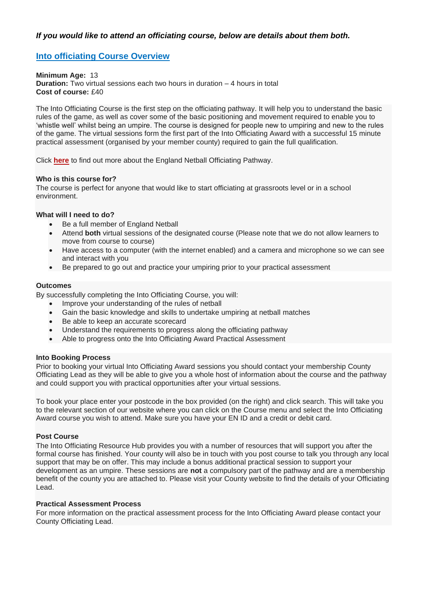# *If you would like to attend an [officiating course,](https://www.englandnetball.co.uk/get-involved/officiating/courses/) below are details about them both.*

# **[Into officiating](https://www.englandnetball.co.uk/course/into-officiating-course/) Course Overview**

**Minimum Age:** 13 **Duration:** Two virtual sessions each two hours in duration – 4 hours in total **Cost of course:** £40

The Into Officiating Course is the first step on the officiating pathway. It will help you to understand the basic rules of the game, as well as cover some of the basic positioning and movement required to enable you to 'whistle well' whilst being an umpire. The course is designed for people new to umpiring and new to the rules of the game. The virtual sessions form the first part of the Into Officiating Award with a successful 15 minute practical assessment (organised by your member county) required to gain the full qualification.

Click **[here](https://d2cx26qpfwuhvu.cloudfront.net/englandnetball/wp-content/uploads/2021/05/10200434/Basic-pathway-2021.pdf)** to find out more about the England Netball Officiating Pathway.

#### **Who is this course for?**

The course is perfect for anyone that would like to start officiating at grassroots level or in a school environment.

# **What will I need to do?**

- Be a full member of England Netball
- Attend **both** virtual sessions of the designated course (Please note that we do not allow learners to move from course to course)
- Have access to a computer (with the internet enabled) and a camera and microphone so we can see and interact with you
- Be prepared to go out and practice your umpiring prior to your practical assessment

#### **Outcomes**

By successfully completing the Into Officiating Course, you will:

- Improve your understanding of the rules of netball
- Gain the basic knowledge and skills to undertake umpiring at netball matches
- Be able to keep an accurate scorecard
- Understand the requirements to progress along the officiating pathway
- Able to progress onto the Into Officiating Award Practical Assessment

#### **Into Booking Process**

Prior to booking your virtual Into Officiating Award sessions you should contact your membership County Officiating Lead as they will be able to give you a whole host of information about the course and the pathway and could support you with practical opportunities after your virtual sessions.

To book your place enter your postcode in the box provided (on the right) and click search. This will take you to the relevant section of our website where you can click on the Course menu and select the Into Officiating Award course you wish to attend. Make sure you have your EN ID and a credit or debit card.

#### **Post Course**

The Into Officiating Resource Hub provides you with a number of resources that will support you after the formal course has finished. Your county will also be in touch with you post course to talk you through any local support that may be on offer. This may include a bonus additional practical session to support your development as an umpire. These sessions are **not** a compulsory part of the pathway and are a membership benefit of the county you are attached to. Please visit your County website to find the details of your Officiating Lead.

#### **Practical Assessment Process**

For more information on the practical assessment process for the Into Officiating Award please contact your County Officiating Lead.